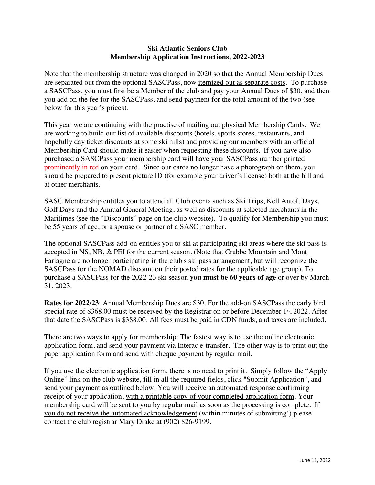## **Ski Atlantic Seniors Club Membership Application Instructions, 2022-2023**

Note that the membership structure was changed in 2020 so that the Annual Membership Dues are separated out from the optional SASCPass, now itemized out as separate costs. To purchase a SASCPass, you must first be a Member of the club and pay your Annual Dues of \$30, and then you add on the fee for the SASCPass, and send payment for the total amount of the two (see below for this year's prices).

This year we are continuing with the practise of mailing out physical Membership Cards. We are working to build our list of available discounts (hotels, sports stores, restaurants, and hopefully day ticket discounts at some ski hills) and providing our members with an official Membership Card should make it easier when requesting these discounts. If you have also purchased a SASCPass your membership card will have your SASCPass number printed prominently in red on your card. Since our cards no longer have a photograph on them, you should be prepared to present picture ID (for example your driver's license) both at the hill and at other merchants.

SASC Membership entitles you to attend all Club events such as Ski Trips, Kell Antoft Days, Golf Days and the Annual General Meeting, as well as discounts at selected merchants in the Maritimes (see the "Discounts" page on the club website). To qualify for Membership you must be 55 years of age, or a spouse or partner of a SASC member.

The optional SASCPass add-on entitles you to ski at participating ski areas where the ski pass is accepted in NS, NB, & PEI for the current season. (Note that Crabbe Mountain and Mont Farlagne are no longer participating in the club's ski pass arrangement, but will recognize the SASCPass for the NOMAD discount on their posted rates for the applicable age group). To purchase a SASCPass for the 2022-23 ski season **you must be 60 years of age** or over by March 31, 2023.

**Rates for 2022/23**: Annual Membership Dues are \$30. For the add-on SASCPass the early bird special rate of \$368.00 must be received by the Registrar on or before December  $1<sup>st</sup>$ , 2022. After that date the SASCPass is \$388.00. All fees must be paid in CDN funds, and taxes are included.

There are two ways to apply for membership: The fastest way is to use the online electronic application form, and send your payment via Interac e-transfer. The other way is to print out the paper application form and send with cheque payment by regular mail.

If you use the electronic application form, there is no need to print it. Simply follow the "Apply Online" link on the club website, fill in all the required fields, click "Submit Application", and send your payment as outlined below. You will receive an automated response confirming receipt of your application, with a printable copy of your completed application form. Your membership card will be sent to you by regular mail as soon as the processing is complete. If you do not receive the automated acknowledgement (within minutes of submitting!) please contact the club registrar Mary Drake at (902) 826-9199.